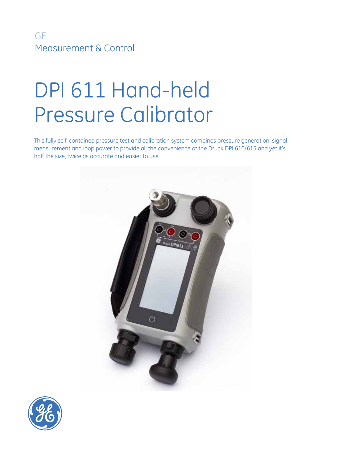**GE** Measurement & Control

# DPI 611 Hand-held Pressure Calibrator

This fully self-contained pressure test and calibration system combines pressure generation, signal measurement and loop power to provide all the convenience of the Druck DPI 610/615 and yet it's half the size, twice as accurate and easier to use.



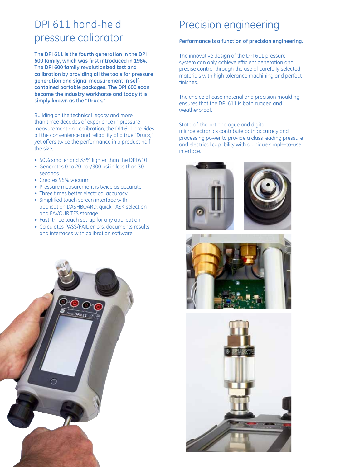### DPI 611 hand-held pressure calibrator

**The DPI 611 is the fourth generation in the DPI 600 family, which was first introduced in 1984. The DPI 600 family revolutionized test and calibration by providing all the tools for pressure generation and signal measurement in selfcontained portable packages. The DPI 600 soon became the industry workhorse and today it is simply known as the "Druck."**

Building on the technical legacy and more than three decades of experience in pressure measurement and calibration, the DPI 611 provides all the convenience and reliability of a true "Druck," yet offers twice the performance in a product half the size.

- 50% smaller and 33% lighter than the DPI 610
- Generates 0 to 20 bar/300 psi in less than 30 seconds
- Creates 95% vacuum
- Pressure measurement is twice as accurate
- Three times better electrical accuracy
- Simplified touch screen interface with application DASHBOARD, quick TASK selection and FAVOURITES storage
- Fast, three touch set-up for any application
- Calculates PASS/FAIL errors, documents results and interfaces with calibration software



### Precision engineering

#### **Performance is a function of precision engineering.**

The innovative design of the DPI 611 pressure system can only achieve efficient generation and precise control through the use of carefully selected materials with high tolerance machining and perfect finishes.

The choice of case material and precision moulding ensures that the DPI 611 is both rugged and weatherproof.

State-of-the-art analogue and digital microelectronics contribute both accuracy and processing power to provide a class leading pressure and electrical capability with a unique simple-to-use interface.







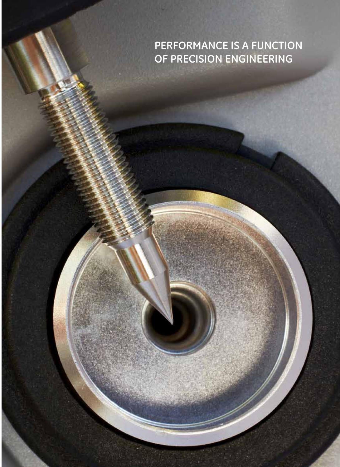## **PERFORMANCE IS A FUNCTION OF PRECISION ENGINEERING**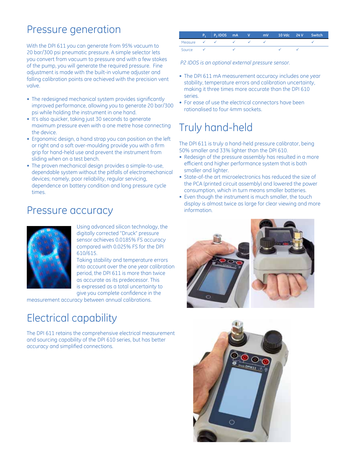### Pressure generation

With the DPI 611 you can generate from 95% vacuum to 20 bar/300 psi pneumatic pressure. A simple selector lets you convert from vacuum to pressure and with a few stokes of the pump, you will generate the required pressure. Fine adjustment is made with the built-in volume adjuster and falling calibration points are achieved with the precision vent valve.

- The redesigned mechanical system provides significantly improved performance, allowing you to generate 20 bar/300 psi while holding the instrument in one hand.
- It's also quicker, taking just 30 seconds to generate maximum pressure even with a one metre hose connecting the device.
- Ergonomic design, a hand strap you can position on the left or right and a soft over-moulding provide you with a firm grip for hand-held use and prevent the instrument from sliding when on a test bench.
- The proven mechanical design provides a simple-to-use, dependable system without the pitfalls of electromechanical devices; namely, poor reliability, regular servicing, dependence on battery condition and long pressure cycle times.

### Pressure accuracy



Using advanced silicon technology, the digitally corrected "Druck" pressure sensor achieves 0.0185% FS accuracy compared with 0.025% FS for the DPI 610/615.

Taking stability and temperature errors into account over the one year calibration period, the DPI 611 is more than twice as accurate as its predecessor. This is expressed as a total uncertainty to give you complete confidence in the

measurement accuracy between annual calibrations.

### Electrical capability

The DPI 611 retains the comprehensive electrical measurement and sourcing capability of the DPI 610 series, but has better accuracy and simplified connections.

|                                                | $P_1$ $P_2$ IDOS mA V mV 10 Vdc 24 V Switch |  |  |  |
|------------------------------------------------|---------------------------------------------|--|--|--|
| Measure $\checkmark$ $\checkmark$ $\checkmark$ |                                             |  |  |  |
| Source                                         |                                             |  |  |  |

 *P2 IDOS is an optional external pressure sensor.*

- The DPI 611 mA measurement accuracy includes one year stability, temperature errors and calibration uncertainty, making it three times more accurate than the DPI 610 series.
- For ease of use the electrical connectors have been rationalised to four 4mm sockets.

### Truly hand-held

The DPI 611 is truly a hand-held pressure calibrator, being 50% smaller and 33% lighter than the DPI 610.

- Redesign of the pressure assembly has resulted in a more efficient and higher performance system that is both smaller and lighter.
- State-of-the art microelectronics has reduced the size of the PCA (printed circuit assembly) and lowered the power consumption, which in turn means smaller batteries.
- Even though the instrument is much smaller, the touch display is almost twice as large for clear viewing and more information.



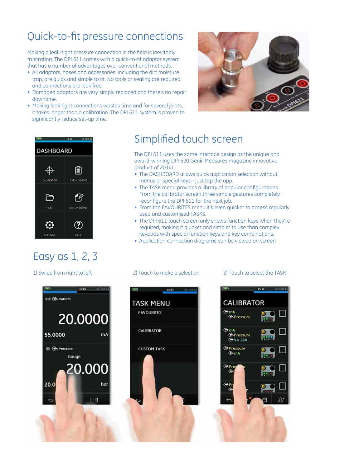## Quick-to-fit pressure connections

Making a leak-tight pressure connection in the field is inevitably frustrating. The DPI 611 comes with a quick-to-fit adaptor system that has a number of advantages over conventional methods:

- All adaptors, hoses and accessories, including the dirt moisture trap, are quick and simple to fit. No tools or sealing are required and connections are leak free.
- Damaged adaptors are very simply replaced and there's no repair downtime.
- Making leak tight connections wastes time and for several joints, it takes longer than a calibration. The DPI 611 system is proven to significantly reduce set-up time.





### Easy as 1, 2, 3

### Simplified touch screen

The DPI 611 uses the same interface design as the unique and award-winning DPI 620 Genii (Measures magazine innovative product of 2014).

- The DASHBOARD allows quick application selection without menus or special keys - just tap the app.
- The TASK menu provides a library of popular configurations. From the calibrator screen three simple gestures completely reconfigure the DPI 611 for the next job.
- From the FAVOURITES menu it's even quicker to access regularly used and customised TASKS.
- The DPI 611 touch screen only shows function keys when they're required, making it quicker and simpler to use than complex keypads with special function keys and key combinations.
- Application connection diagrams can be viewed on screen

#### 1) Swipe from right to left 2) Touch to make a selection 3) Touch to select the TASK

# **BB** Current 20.0000 55.0000 mA **Co. Pressure** Gauge 20.000  $20.0$ bar



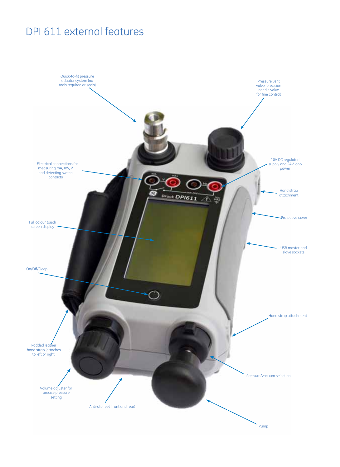### DPI 611 external features

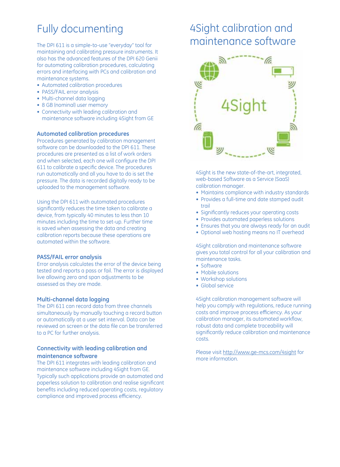### Fully documenting

The DPI 611 is a simple-to-use "everyday" tool for maintaining and calibrating pressure instruments. It also has the advanced features of the DPI 620 Genii for automating calibration procedures, calculating errors and interfacing with PCs and calibration and maintenance systems.

- Automated calibration procedures
- PASS/FAIL error analysis
- Multi-channel data logging
- 8 GB (nominal) user memory
- Connectivity with leading calibration and maintenance software including 4Sight from GE

#### **Automated calibration procedures**

Procedures generated by calibration management software can be downloaded to the DPI 611. These procedures are presented as a list of work orders and when selected, each one will configure the DPI 611 to calibrate a specific device. The procedures run automatically and all you have to do is set the pressure. The data is recorded digitally ready to be uploaded to the management software.

Using the DPI 611 with automated procedures significantly reduces the time taken to calibrate a device, from typically 40 minutes to less than 10 minutes including the time to set-up. Further time is saved when assessing the data and creating calibration reports because these operations are automated within the software.

#### **PASS/FAIL error analysis**

Error analysis calculates the error of the device being tested and reports a pass or fail. The error is displayed live allowing zero and span adjustments to be assessed as they are made.

#### **Multi-channel data logging**

The DPI 611 can record data from three channels simultaneously by manually touching a record button or automatically at a user set interval. Data can be reviewed on screen or the data file can be transferred to a PC for further analysis.

#### **Connectivity with leading calibration and maintenance software**

The DPI 611 integrates with leading calibration and maintenance software including 4Sight from GE. Typically such applications provide an automated and paperless solution to calibration and realise significant benefits including reduced operating costs, regulatory compliance and improved process efficiency.

### 4Sight calibration and maintenance software



4Sight is the new state-of-the-art, integrated, web-based Software as a Service (SaaS) calibration manager.

- Maintains compliance with industry standards
- Provides a full-time and date stamped audit trail
- Significantly reduces your operating costs
- Provides automated paperless solutions
- Ensures that you are always ready for an audit
- Optional web hosting means no IT overhead

4Sight calibration and maintenance software gives you total control for all your calibration and maintenance tasks.

- Software
- Mobile solutions
- Workshop solutions
- Global service

4Sight calibration management software will help you comply with regulations, reduce running costs and improve process efficiency. As your calibration manager, its automated workflow, robust data and complete traceability will significantly reduce calibration and maintenance costs.

Please visit http://www.ge-mcs.com/4sight for more information.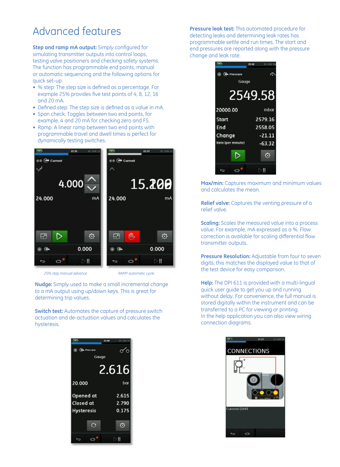### Advanced features

**Step and ramp mA output:** Simply configured for simulating transmitter outputs into control loops, testing valve positioners and checking safety systems. The function has programmable end points, manual or automatic sequencing and the following options for quick set-up:

- % step: The step size is defined as a percentage. For example 25% provides five test points of 4, 8, 12, 16 and 20 mA.
- Defined step: The step size is defined as a value in mA.
- Span check: Toggles between two end points, for example, 4 and 20 mA for checking zero and FS.
- Ramp: A linear ramp between two end points with programmable travel and dwell times is perfect for dynamically testing switches.

|           | 19:35 | 85.70 % 13 |               |   | 15:37 | 05 JUN 14           |
|-----------|-------|------------|---------------|---|-------|---------------------|
| Corrent   |       |            | ®® → Current  |   |       |                     |
|           |       |            | π             |   |       |                     |
|           | 4.000 | ▀          |               |   |       | 15.200              |
| 24.000    |       | mA         | 24.000        |   |       | mA                  |
|           |       |            |               |   |       |                     |
| Ð         |       | O.         | ⊡             | ₿ |       | O                   |
| $\bullet$ |       | 0.000      | $\oplus$<br>Θ |   |       | 0.000               |
|           |       |            |               |   |       | $\triangleright$ II |

*25% step manual advance RAMP automatic cycle*

**Nudge:** Simply used to make a small incremental change to a mA output using up/down keys. This is great for determining trip values.

**Switch test:** Automates the capture of pressure switch actuation and de-actuation values and calculates the hysteresis.



**Pressure leak test:** This automated procedure for detecting leaks and determining leak rates has programmable settle and run times. The start and end pressures are reported along with the pressure change and leak rate.

|                   | 15:42<br>05 JUN 14 |
|-------------------|--------------------|
| <b>A</b> Pressure |                    |
| Gauge             |                    |
|                   | 2549.58            |
| 20000.00          | mbar               |
| <b>Start</b>      | 2579.16            |
| End               | 2558.05            |
| Change            | -21.11             |
| Rate (per minute) | -63.32             |
|                   |                    |
|                   |                    |

**Max/min:** Captures maximum and minimum values and calculates the mean.

**Relief valve:** Captures the venting pressure of a relief valve.

**Scaling:** Scales the measured value into a process value. For example, mA expressed as a %. Flow correction is available for scaling differential flow transmitter outputs.

**Pressure Resolution:** Adjustable from four to seven digits; this matches the displayed value to that of the test device for easy comparison.

**Help:** The DPI 611 is provided with a multi-lingual quick user guide to get you up and running without delay. For convenience, the full manual is stored digitally within the instrument and can be transferred to a PC for viewing or printing. In the help application you can also view wiring connection diagrams.

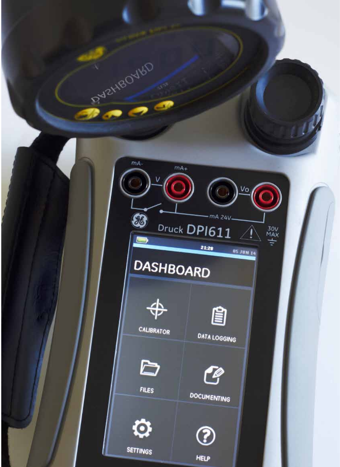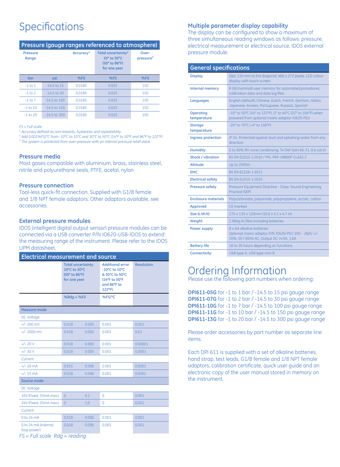### **Specifications**

| Pressure (gauge ranges referenced to atmosphere) |                |                       |                                                                                |                                |  |
|--------------------------------------------------|----------------|-----------------------|--------------------------------------------------------------------------------|--------------------------------|--|
| Pressure<br>Range                                |                | Accuracy <sup>1</sup> | Total uncertainty <sup>2</sup><br>10° to 30°C<br>(50° to 86°F)<br>for one year | Over-<br>pressure <sup>3</sup> |  |
| bar                                              | psi            | %FS                   | %FS                                                                            | %FS                            |  |
| $-1$ to $1$                                      | $-14.5$ to 15  | 0.0185                | 0.025                                                                          | 150                            |  |
| $-1$ to 2                                        | $-14.5$ to 30  | 0.0185                | 0.025                                                                          | 150                            |  |
| $-1$ to $7$                                      | $-14.5$ to 100 | 0.0185                | 0.025                                                                          | 150                            |  |
| $-1$ to 10                                       | $-14.5$ to 150 | 0.0185                | 0.025                                                                          | 150                            |  |
| $-1$ to 20                                       | $-14.5$ to 300 | 0.0185                | 0.025                                                                          | 150                            |  |

*FS = Full scale*

*1 Accuracy defined as non-linearity, hysteresis and repeatability.*

*2 Add 0.001%FS/°C from -10°C to 10°C and 30°C to 50°C (14°F to 50°F and 86°F to 122°F). 3 The system is protected from over-pressure with an internal pressure relief valve.*

#### **Pressure media**

Most gases compatible with aluminium, brass, stainless steel, nitrile and polyurethane seals, PTFE, acetal, nylon

#### **Pressure connection**

Tool-less quick-fit connection. Supplied with G1/8 female and 1/8 NPT female adaptors. Other adaptors available, see accessories.

#### **External pressure modules**

IDOS (intelligent digital output sensor) pressure modules can be connected via a USB converter P/N IO620-USB-IDOS to extend the measuring range of the instrument. Please refer to the IDOS UPM datasheet.

| <b>Electrical measurement and source</b> |                                                                           |       |                                                                                                       |                   |  |  |
|------------------------------------------|---------------------------------------------------------------------------|-------|-------------------------------------------------------------------------------------------------------|-------------------|--|--|
|                                          | <b>Total uncertainty</b><br>10°C to 30°C<br>(50° to 86°F)<br>for one year |       | <b>Additional error</b><br>-10°C to 10°C<br>& 30°C to 50°C<br>(14°F to 50°F<br>and 86°F to<br>122°F). | <b>Resolution</b> |  |  |
|                                          | %Rdg + %FS                                                                |       | %FS/°C                                                                                                |                   |  |  |
| Measure mode                             |                                                                           |       |                                                                                                       |                   |  |  |
| <b>DC Voltage</b>                        |                                                                           |       |                                                                                                       |                   |  |  |
| $+/- 200$ mV                             | 0.018                                                                     | 0.005 | 0.001                                                                                                 | 0.001             |  |  |
| $+/- 2000$ mV                            | 0.018                                                                     | 0.005 | 0.001                                                                                                 | 0.01              |  |  |
| $+/- 20 V$                               | 0.018                                                                     | 0.005 | 0.001                                                                                                 | 0.00001           |  |  |
| $+/- 30 V$                               | 0.018                                                                     | 0.005 | 0.001                                                                                                 | 0.0001            |  |  |
| Current                                  |                                                                           |       |                                                                                                       |                   |  |  |
| $+/- 20$ mA                              | 0.015                                                                     | 0.006 | 0.001                                                                                                 | 0.0001            |  |  |
| $+/- 55$ mA                              | 0.018                                                                     | 0.006 | 0.001                                                                                                 | 0.0001            |  |  |
| Source mode                              |                                                                           |       |                                                                                                       |                   |  |  |
| <b>DC Voltage</b>                        |                                                                           |       |                                                                                                       |                   |  |  |
| 10V (Fixed, 25mA max.)                   | $\overline{0}$                                                            | 0.1   | $\mathbf 0$                                                                                           | 0.001             |  |  |
| 24V (Fixed, 25mA max.)                   | $\overline{0}$                                                            | 1.0   | 0                                                                                                     | 0.001             |  |  |
| Current                                  |                                                                           |       |                                                                                                       |                   |  |  |
| 0 to 24 mA                               | 0.018                                                                     | 0.006 | 0.001                                                                                                 | 0.001             |  |  |
| 0 to 24 mA (internal<br>loop power)      | 0.018                                                                     | 0.006 | 0.001                                                                                                 | 0.001             |  |  |

### **Multiple parameter display capability**

The display can be configured to show a maximum of three simultaneous reading windows as follows: pressure, electrical measurement or electrical source, IDOS external pressure module.

| <b>General specifications</b>   |                                                                                                                             |
|---------------------------------|-----------------------------------------------------------------------------------------------------------------------------|
| <b>Display</b>                  | Size: 110 mm (4.3in) diagonal. 480 x 272 pixels. LCD colour<br>display with touch screen                                    |
| <b>Internal memory</b>          | 8 GB (nominal) user memory for automated procedures,<br>calibration data and data log files                                 |
| Languages                       | English (default), Chinese, Dutch, French, German, Italian,<br>Japanese, Korean, Portuguese, Russian, Spanish               |
| <b>Operating</b><br>temperature | -10° to 50°C (14° to 122°F). 0° to 40°C (32° to 104°F) when<br>powered from optional mains adaptor IO620-PSU                |
| <b>Storage</b><br>temperature   | -20° to 70°C (-4° to 158°F)                                                                                                 |
| <b>Ingress protection</b>       | IP 54. Protected against dust and splashing water from any<br>direction                                                     |
| <b>Humidity</b>                 | 0 to 90% RH none condensing. To Def Stan 66-31, 8.6 cat III                                                                 |
| <b>Shock / vibration</b>        | BS EN 61010-1:2010 / MIL-PRF-28800F CLASS 2                                                                                 |
| <b>Altitude</b>                 | Up to 2000m                                                                                                                 |
| <b>EMC</b>                      | BS EN 61326-1:2013                                                                                                          |
| <b>Electrical safety</b>        | BS EN 61010-1:2010                                                                                                          |
| <b>Pressure safety</b>          | Pressure Equipment Directive - Class: Sound Engineering<br><b>Practice (SEP)</b>                                            |
| <b>Enclosure materials</b>      | Polycarbonate, polyamide, polypropylene, acrylic, cotton                                                                    |
| <b>Approved</b>                 | CE marked                                                                                                                   |
| Size (L:W:H)                    | 270 x 130 x 120mm (10.6 x 5.1 x 4.7 in)                                                                                     |
| Weight                          | 1.96Kg (4.3lbs) including batteries                                                                                         |
| Power supply                    | 8 x AA alkaline batteries<br>Optional mains adaptor P/N IO620-PSU 100 - 260V +/-<br>10%, 50 / 60Hz AC, Output DC V=5A, 1.6A |
| <b>Battery life</b>             | 18 to 26 hours depending on functions                                                                                       |
| Connectivity                    | USB type A, USB type mini B                                                                                                 |

### Ordering Information

Please use the following part numbers when ordering:

**DPI611-05G** for -1 to 1 bar / -14.5 to 15 psi gauge range **DPI611-07G** for -1 to 2 bar / -14.5 to 30 psi gauge range **DPI611-10G** for -1 to 7 bar / -14.5 to 100 psi gauge range **DPI611-11G** for -1 to 10 bar / -14.5 to 150 psi gauge range **DPI611-13G** for -1 to 20 bar / -14.5 to 300 psi gauge range

Please order accessories by part number as separate line items.

Each DPI 611 is supplied with a set of alkaline batteries, hand strap, test leads, G1/8 female and 1/8 NPT female adaptors, calibration certificate, quick user guide and an electronic copy of the user manual stored in memory on the instrument.

*FS = Full scale Rdg = reading*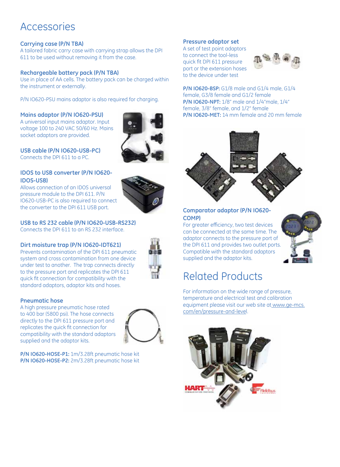### **Accessories**

#### **Carrying case (P/N TBA)**

A tailored fabric carry case with carrying strap allows the DPI 611 to be used without removing it from the case.

#### **Rechargeable battery pack (P/N TBA)**

Use in place of AA cells. The battery pack can be charged within the instrument or externally.

P/N IO620-PSU mains adaptor is also required for charging.

#### **Mains adaptor (P/N IO620-PSU)**

A universal input mains adaptor. Input voltage 100 to 240 VAC 50/60 Hz. Mains socket adaptors are provided.



#### **USB cable (P/N IO620-USB-PC)**  Connects the DPI 611 to a PC.

#### **IDOS to USB converter (P/N IO620- IDOS-USB)**

Allows connection of an IDOS universal pressure module to the DPI 611. P/N IO620-USB-PC is also required to connect the converter to the DPI 611 USB port.

**USB to RS 232 cable (P/N IO620-USB-RS232)** Connects the DPI 611 to an RS 232 interface.

#### **Dirt moisture trap (P/N IO620-IDT621)**

Prevents contamination of the DPI 611 pneumatic system and cross contamination from one device under test to another. The trap connects directly to the pressure port and replicates the DPI 611 quick fit connection for compatibility with the standard adaptors, adaptor kits and hoses.



#### **Pneumatic hose**

A high pressure pneumatic hose rated to 400 bar (5800 psi). The hose connects directly to the DPI 611 pressure port and replicates the quick fit connection for compatibility with the standard adaptors supplied and the adaptor kits.



**P/N IO620-HOSE-P1:** 1m/3.28ft pneumatic hose kit **P/N IO620-HOSE-P2:** 2m/3.28ft pneumatic hose kit

### **Pressure adaptor set**

A set of test point adaptors to connect the tool-less quick fit DPI 611 pressure port or the extension hoses to the device under test



**P/N IO620-BSP:** G1/8 male and G1/4 male, G1/4 female, G3/8 female and G1/2 female **P/N IO620-NPT:** 1/8" male and 1/4"male, 1/4" female, 3/8" female, and 1/2" female **P/N IO620-MET:** 14 mm female and 20 mm female



#### **Comparator adaptor (P/N IO620- COMP)**

For greater efficiency, two test devices can be connected at the same time. The adaptor connects to the pressure port of the DPI 611 and provides two outlet ports. Compatible with the standard adaptors supplied and the adaptor kits.



### Related Products

For information on the wide range of pressure, temperature and electrical test and calibration equipment please visit our web site at www.ge-mcs. com/en/pressure-and-level.